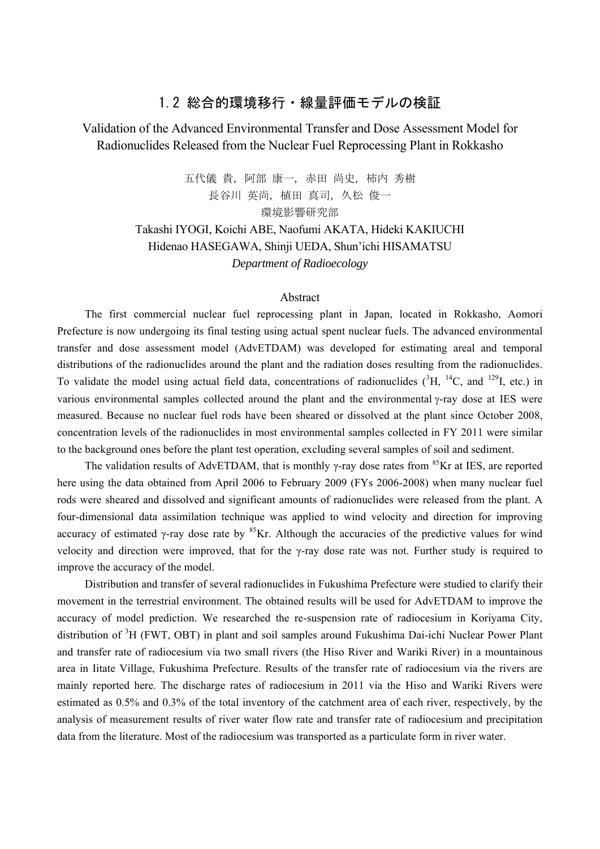## 1.2 総合的環境移行・線量評価モデルの検証

# Validation of the Advanced Environmental Transfer and Dose Assessment Model for Radionuclides Released from the Nuclear Fuel Reprocessing Plant in Rokkasho

五代儀 貴, 阿部 康一, 赤田 尚史, 柿内 秀樹 長谷川 英尚, 植田 真司, 久松 俊一 環境影響研究部

Takashi IYOGI, Koichi ABE, Naofumi AKATA, Hideki KAKIUCHI Hidenao HASEGAWA, Shinji UEDA, Shun'ichi HISAMATSU *Department of Radioecology* 

#### Abstract

The first commercial nuclear fuel reprocessing plant in Japan, located in Rokkasho, Aomori Prefecture is now undergoing its final testing using actual spent nuclear fuels. The advanced environmental transfer and dose assessment model (AdvETDAM) was developed for estimating areal and temporal distributions of the radionuclides around the plant and the radiation doses resulting from the radionuclides. To validate the model using actual field data, concentrations of radionuclides  $(^{3}H, ^{14}C,$  and  $^{129}I,$  etc.) in various environmental samples collected around the plant and the environmental γ-ray dose at IES were measured. Because no nuclear fuel rods have been sheared or dissolved at the plant since October 2008, concentration levels of the radionuclides in most environmental samples collected in FY 2011 were similar to the background ones before the plant test operation, excluding several samples of soil and sediment.

The validation results of AdvETDAM, that is monthly  $\gamma$ -ray dose rates from <sup>85</sup>Kr at IES, are reported here using the data obtained from April 2006 to February 2009 (FYs 2006-2008) when many nuclear fuel rods were sheared and dissolved and significant amounts of radionuclides were released from the plant. A four-dimensional data assimilation technique was applied to wind velocity and direction for improving accuracy of estimated γ-ray dose rate by  ${}^{85}$ Kr. Although the accuracies of the predictive values for wind velocity and direction were improved, that for the γ-ray dose rate was not. Further study is required to improve the accuracy of the model.

Distribution and transfer of several radionuclides in Fukushima Prefecture were studied to clarify their movement in the terrestrial environment. The obtained results will be used for AdvETDAM to improve the accuracy of model prediction. We researched the re-suspension rate of radiocesium in Koriyama City, distribution of <sup>3</sup>H (FWT, OBT) in plant and soil samples around Fukushima Dai-ichi Nuclear Power Plant and transfer rate of radiocesium via two small rivers (the Hiso River and Wariki River) in a mountainous area in Iitate Village, Fukushima Prefecture. Results of the transfer rate of radiocesium via the rivers are mainly reported here. The discharge rates of radiocesium in 2011 via the Hiso and Wariki Rivers were estimated as 0.5% and 0.3% of the total inventory of the catchment area of each river, respectively, by the analysis of measurement results of river water flow rate and transfer rate of radiocesium and precipitation data from the literature. Most of the radiocesium was transported as a particulate form in river water.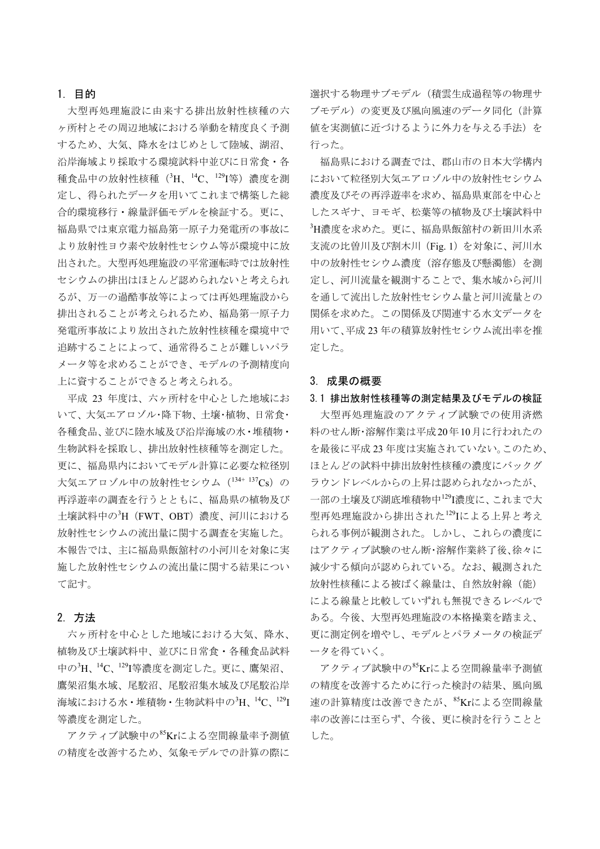### 1. 目的

大型再処理施設に由来する排出放射性核種の六 ヶ所村とその周辺地域における挙動を精度良く予測 するため、大気、降水をはじめとして陸域、湖沼、 沿岸海域より採取する環境試料中並びに日常食・各 種食品中の放射性核種(<sup>3</sup>H、<sup>14</sup>C、<sup>129</sup>I等)濃度を測 定し、得られたデータを用いてこれまで構築した総 合的環境移行・線量評価モデルを検証する。更に、 福島県では東京電力福島第一原子力発電所の事故に より放射性ヨウ素や放射性セシウム等が環境中に放 出された。大型再処理施設の平常運転時では放射性 セシウムの排出はほとんど認められないと考えられ るが、万一の過酷事故等によっては再処理施設から 排出されることが考えられるため、福島第一原子力 発電所事故により放出された放射性核種を環境中で 追跡することによって、通常得ることが難しいパラ メータ等を求めることができ、モデルの予測精度向 上に資することができると考えられる。

平成 23 年度は、六ヶ所村を中心とした地域にお いて、大気エアロゾル・降下物、土壌・植物、日常食・ 各種食品、並びに陸水域及び沿岸海域の水・堆積物・ 生物試料を採取し、排出放射性核種等を測定した。 更に、福島県内においてモデル計算に必要な粒径別 大気エアロゾル中の放射性セシウム (134+ 137Cs) の 再浮遊率の調査を行うとともに、福島県の植物及び 土壌試料中の3H (FWT、OBT) 濃度、河川における 放射性セシウムの流出量に関する調査を実施した。 本報告では、主に福島県飯舘村の小河川を対象に実 施した放射性セシウムの流出量に関する結果につい て記す。

#### 2. 方法

六ヶ所村を中心とした地域における大気、降水、 植物及び土壌試料中、並びに日常食・各種食品試料 中の<sup>3</sup>H、14C、129I等濃度を測定した。更に、鷹架沼、 鷹架沼集水域、尾駮沼、尾駮沼集水域及び尾駮沿岸 海域における水・堆積物・生物試料中の $^3{\rm H}$ 、 $^{14}{\rm C}$ 、 $^{129}{\rm I}$ 等濃度を測定した。

 $\nabla$ クティブ試験中の $^{85}$ Krによる空間線量率予測値 の精度を改善するため、気象モデルでの計算の際に

選択する物理サブモデル(積雲生成過程等の物理サ ブモデル)の変更及び風向風速のデータ同化(計算 値を実測値に近づけるように外力を与える手法)を 行った。

福島県における調査では、郡山市の日本大学構内 において粒径別大気エアロゾル中の放射性セシウム 濃度及びその再浮遊率を求め、福島県東部を中心と したスギナ、ヨモギ、松葉等の植物及び土壌試料中 3 H濃度を求めた。更に、福島県飯舘村の新田川水系 支流の比曽川及び割木川(Fig. 1)を対象に、河川水 中の放射性セシウム濃度(溶存態及び懸濁態)を測 定し、河川流量を観測することで、集水域から河川 を通して流出した放射性セシウム量と河川流量との 関係を求めた。この関係及び関連する水文データを 用いて、平成 23 年の積算放射性セシウム流出率を推 定した。

#### 3. 成果の概要

#### 3.1 排出放射性核種等の測定結果及びモデルの検証

大型再処理施設のアクティブ試験での使用済燃 料のせん断・溶解作業は平成20年10月に行われたの を最後に平成 23 年度は実施されていない。このため、 ほとんどの試料中排出放射性核種の濃度にバックグ ラウンドレベルからの上昇は認められなかったが、 一部の土壌及び湖底堆積物中129I濃度に、これまで大 型再処理施設から排出された129Iによる上昇と考え られる事例が観測された。しかし、これらの濃度に はアクティブ試験のせん断・溶解作業終了後、徐々に 減少する傾向が認められている。なお、観測された 放射性核種による被ばく線量は、自然放射線(能) による線量と比較していずれも無視できるレベルで ある。今後、大型再処理施設の本格操業を踏まえ、 更に測定例を増やし、モデルとパラメータの検証デ ータを得ていく。

 $\nabla$ クティブ試験中の $^{85}$ Krによる空間線量率予測値 の精度を改善するために行った検討の結果、風向風 速の計算精度は改善できたが、85Krによる空間線量 率の改善には至らず、今後、更に検討を行うことと した。